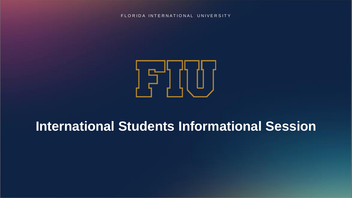FLORIDA INTERNATIONAL UNIVERSITY



## **International Students Informational Session**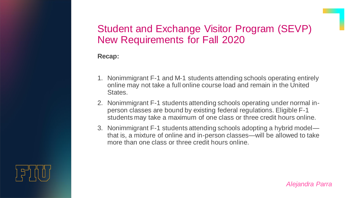### Student and Exchange Visitor Program (SEVP) New Requirements for Fall 2020

### **Recap:**

- 1. Nonimmigrant F-1 and M-1 students attending schools operating entirely online may not take a full online course load and remain in the United States.
- 2. Nonimmigrant F-1 students attending schools operating under normal inperson classes are bound by existing federal regulations. Eligible F-1 students may take a maximum of one class or three credit hours online.
- 3. Nonimmigrant F-1 students attending schools adopting a hybrid model that is, a mixture of online and in-person classes—will be allowed to take more than one class or three credit hours online.

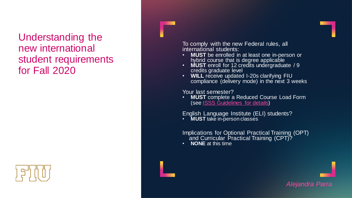### Understanding the new international student requirements for Fall 2020

To comply with the new Federal rules, all international students:

- **MUST** be enrolled in at least one in-person or hybrid course that is degree applicable
- **MUST** enroll for 12 credits undergraduate / 9 credits graduate level
- WILL receive updated I-20s clarifying FIU compliance (delivery mode) in the next 3 weeks

Your last semester?

• **MUST** complete a Reduced Course Load Form (see [ISSS Guidelines for details\)](https://globalaffairs.fiu.edu/wp-content/uploads/sites/40/2020/07/Fall-2020-information-for-students-July-9-2020-Final.pdf)

English Language Institute (ELI) students?

• **MUST** take in-person classes

Implications for Optional Practical Training (OPT) and Curricular Practical Training (CPT)?

• **NONE** at this time



*Alejandra Parra*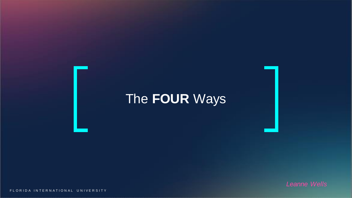# The **FOUR** Ways

FLORIDA INTERNATIONAL UNIVERSITY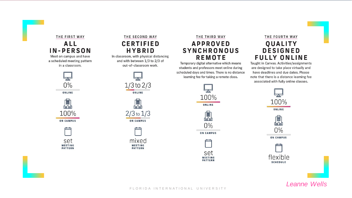#### THE FIRST WAY **ALL IN-PERSON**

Meet on campus and have a scheduled meeting pattern in a classroom.



ONLINE



set **MEETING PATTERN** 

### THE SECOND WAY **CERTIFIED HYBRID**

In classroom, with physical distancing and with between 1/3 to 2/3 of out-of-classroom work.







### THE THIRD WAY **APPROVED SYNCHRONOUS REMOTE**

Temporary digital alternative which means students and professors meet online during scheduled days and times. There is no distance learning fee for taking a remote class.



### THE FOURTH WAY QUALITY **DESIGNED FULLY ONLINE**

Taught in Canvas. Activities/assignments are designed to take place virtually and have deadlines and due dates. Please note that there is a distance learning fee associated with fully online classes.



*Leanne Wells*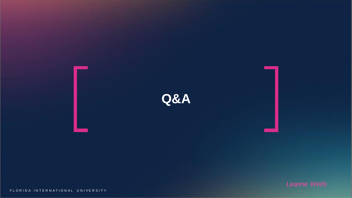

FLORIDA INTERNATIONAL UNIVERSITY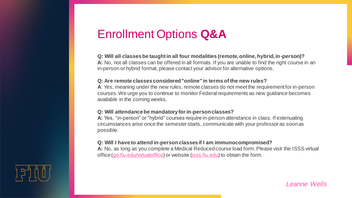## Enrollment Options **Q&A**

#### **Q: Will all classes be taught in all four modalities (remote, online, hybrid, in-person)?**

**A:** No, not all classes can be offered in all formats. If you are unable to find the right course in an in-person or hybrid format, please contact your advisor for alternative options.

#### **Q: Are remote classes considered "online" in terms of the new rules?**

**A**: Yes, meaning under the new rules, remote classes do not meet the requirement for in-person courses. We urge you to continue to monitor Federal requirements as new guidance becomes available in the coming weeks.

#### **Q: Will attendance be mandatory for in-person classes?**

**A:** Yes, "in-person" or "hybrid" courses require in-person attendance in class. If extenuating circumstances arise once the semester starts, communicate with your professor as soon as possible.

#### **Q: Will I have to attend in-person classes if I am immunocompromised?**

**A:** No, as long as you complete a Medical Reduced course load form. Please visit the ISSS virtual office [\(go.fiu.edu/virtualoffice\)](http://go.fiu.edu/virtualoffice) or website [\(isss.fiu.edu\)](http://isss.fiu.edu/) to obtain the form.



*Leanne Wells*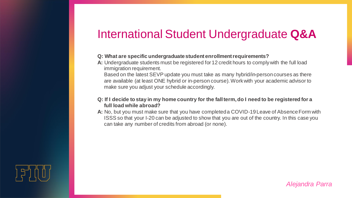### International Student Undergraduate **Q&A**

#### **Q: What are specific undergraduate student enrollment requirements?**

**A:** Undergraduate students must be registered for 12 credit hours to comply with the full load immigration requirement.

Based on the latest SEVP update you must take as many hybrid/in-person courses as there are available (at least ONE hybrid or in-person course). Work with your academic advisor to make sure you adjust your schedule accordingly.

#### **Q: If I decide to stay in my home country for the fall term, do I need to be registered for a full load while abroad?**

**A:** No, but you must make sure that you have completed a COVID-19 Leave of Absence Form with ISSS so that your I-20 can be adjusted to show that you are out of the country. In this case you can take any number of credits from abroad (or none).



*Alejandra Parra*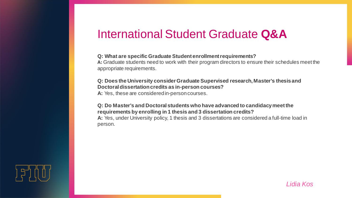### International Student Graduate **Q&A**

#### **Q: What are specific Graduate Student enrollment requirements?**

**A:** Graduate students need to work with their program directors to ensure their schedules meet the appropriate requirements.

#### **Q: Does the University consider Graduate Supervised research, Master's thesis and Doctoral dissertation credits as in-person courses?**

**A:** Yes, these are considered in-person courses.

#### **Q: Do Master's and Doctoral students who have advanced to candidacy meet the requirements by enrolling in 1 thesis and 3 dissertation credits?**

**A:** Yes, under University policy, 1 thesis and 3 dissertations are considered a full-time load in person.

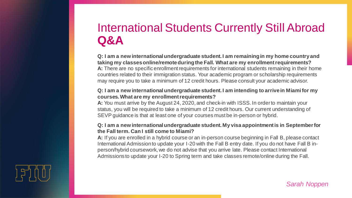## International Students Currently Still Abroad **Q&A**

**Q: I am a new international undergraduate student. I am remaining in my home country and taking my classes online/remote during the Fall. What are my enrollment requirements? A:** There are no specific enrollment requirements for international students remaining in their home countries related to their immigration status. Your academic program or scholarship requirements may require you to take a minimum of 12 credit hours. Please consult your academic advisor.

#### **Q: I am a new international undergraduate student. I am intending to arrive in Miami for my courses. What are my enrollment requirements?**

**A:** You must arrive by the August 24, 2020, and check-in with ISSS. In order to maintain your status, you will be required to take a minimum of 12 credit hours. Our current understanding of SEVP guidance is that at least one of your courses must be in-person or hybrid.

#### **Q: I am a new international undergraduate student. My visa appointment is in September for the Fall term. Can I still come to Miami?**

**A:** If you are enrolled in a hybrid course or an in-person course beginning in Fall B, please contact International Admission to update your I-20 with the Fall B entry date. If you do not have Fall B inperson/hybrid coursework, we do not advise that you arrive late. Please contact International Admissions to update your I-20 to Spring term and take classes remote/online during the Fall.



*Sarah Noppen*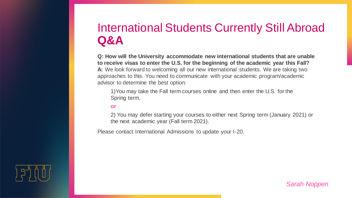## International Students Currently Still Abroad **Q&A**

**Q: How will the University accommodate new international students that are unable to receive visas to enter the U.S. for the beginning of the academic year this Fall? A:** We look forward to welcoming all our new international students. We are taking two approaches to this. You need to communicate with your academic program/academic advisor to determine the best option:

1)You may take the Fall term courses online and then enter the U.S. for the Spring term.

#### **or**

2) You may defer starting your courses to either next Spring term (January 2021) or the next academic year (Fall term 2021).

Please contact International Admissions to update your I-20.



*Sarah Noppen*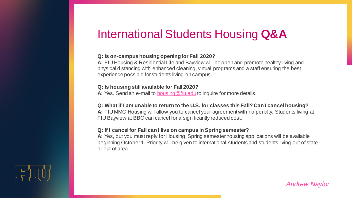## International Students Housing **Q&A**

#### **Q: Is on-campus housing opening for Fall 2020?**

**A:** FIU Housing & Residential Life and Bayview will be open and promote healthy living and physical distancing with enhanced cleaning, virtual programs and a staff ensuring the best experience possible for students living on campus.

#### **Q: Is housing still available for Fall 2020?**

A: Yes. Send an e-mail to **[housing@fiu.edu](mailto:housing@fiu.edu)** to inquire for more details.

#### **Q: What if I am unable to return to the U.S. for classes this Fall? Can I cancel housing?**

**A:** FIU MMC Housing will allow you to cancel your agreement with no penalty. Students living at FIU Bayview at BBC can cancel for a significantly reduced cost.

#### **Q: If I cancel for Fall can I live on campus in Spring semester?**

**A:** Yes, but you must reply for Housing. Spring semester housing applications will be available beginning October 1. Priority will be given to international students and students living out of state or out of area.



*Andrew Naylor*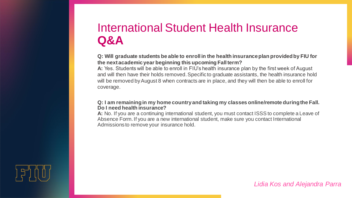## International Student Health Insurance **Q&A**

**Q: Will graduate students be able to enroll in the health insurance plan provided by FIU for the next academic year beginning this upcoming Fall term?**

**A:** Yes. Students will be able to enroll in FIU's health insurance plan by the first week of August and will then have their holds removed. Specific to graduate assistants, the health insurance hold will be removed by August 8 when contracts are in place, and they will then be able to enroll for coverage.

#### **Q: I am remaining in my home country and taking my classes online/remote during the Fall. Do I need health insurance?**

**A:** No. If you are a continuing international student, you must contact ISSS to complete a Leave of Absence Form. If you are a new international student, make sure you contact International Admissions to remove your insurance hold.



*Lidia Kos and Alejandra Parra*